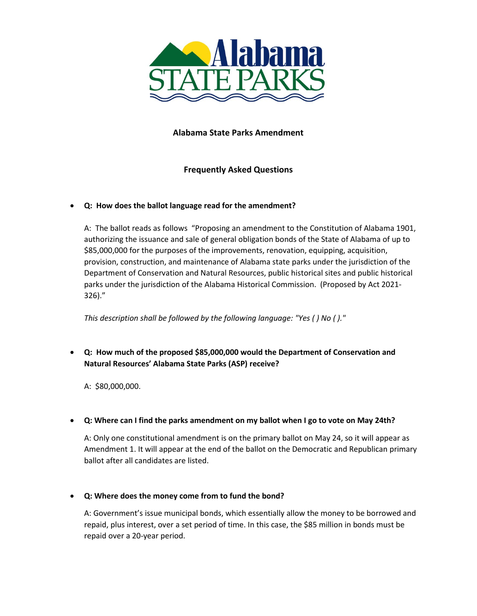

## **Alabama State Parks Amendment**

## **Frequently Asked Questions**

#### • **Q: How does the ballot language read for the amendment?**

A: The ballot reads as follows "Proposing an amendment to the Constitution of Alabama 1901, authorizing the issuance and sale of general obligation bonds of the State of Alabama of up to \$85,000,000 for the purposes of the improvements, renovation, equipping, acquisition, provision, construction, and maintenance of Alabama state parks under the jurisdiction of the Department of Conservation and Natural Resources, public historical sites and public historical parks under the jurisdiction of the Alabama Historical Commission. (Proposed by Act 2021- 326)."

*This description shall be followed by the following language: "Yes ( ) No ( )."*

• **Q: How much of the proposed \$85,000,000 would the Department of Conservation and Natural Resources' Alabama State Parks (ASP) receive?**

A: \$80,000,000.

## • **Q: Where can I find the parks amendment on my ballot when I go to vote on May 24th?**

A: Only one constitutional amendment is on the primary ballot on May 24, so it will appear as Amendment 1. It will appear at the end of the ballot on the Democratic and Republican primary ballot after all candidates are listed.

## • **Q: Where does the money come from to fund the bond?**

A: Government's issue municipal bonds, which essentially allow the money to be borrowed and repaid, plus interest, over a set period of time. In this case, the \$85 million in bonds must be repaid over a 20-year period.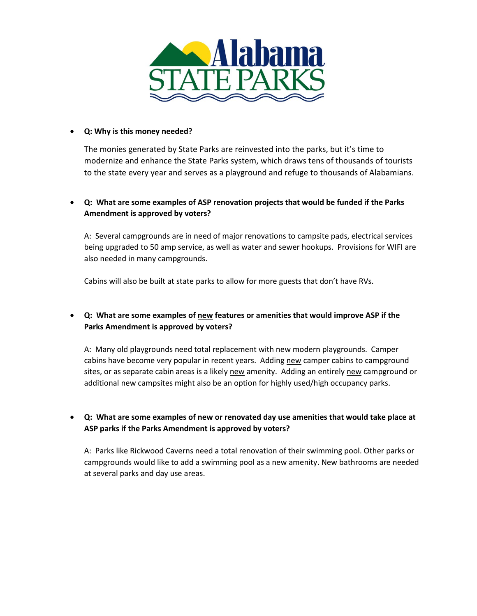

#### • **Q: Why is this money needed?**

The monies generated by State Parks are reinvested into the parks, but it's time to modernize and enhance the State Parks system, which draws tens of thousands of tourists to the state every year and serves as a playground and refuge to thousands of Alabamians.

# • **Q: What are some examples of ASP renovation projects that would be funded if the Parks Amendment is approved by voters?**

A: Several campgrounds are in need of major renovations to campsite pads, electrical services being upgraded to 50 amp service, as well as water and sewer hookups. Provisions for WIFI are also needed in many campgrounds.

Cabins will also be built at state parks to allow for more guests that don't have RVs.

# • **Q: What are some examples of new features or amenities that would improve ASP if the Parks Amendment is approved by voters?**

A: Many old playgrounds need total replacement with new modern playgrounds. Camper cabins have become very popular in recent years. Adding new camper cabins to campground sites, or as separate cabin areas is a likely new amenity. Adding an entirely new campground or additional new campsites might also be an option for highly used/high occupancy parks.

## • **Q: What are some examples of new or renovated day use amenities that would take place at ASP parks if the Parks Amendment is approved by voters?**

A: Parks like Rickwood Caverns need a total renovation of their swimming pool. Other parks or campgrounds would like to add a swimming pool as a new amenity. New bathrooms are needed at several parks and day use areas.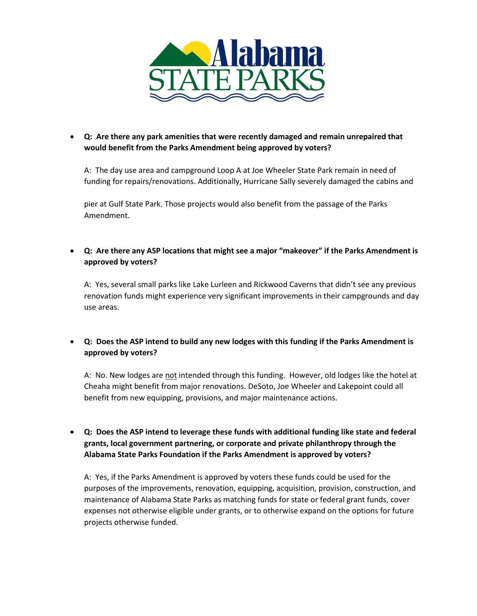

• **Q: Are there any park amenities that were recently damaged and remain unrepaired that would benefit from the Parks Amendment being approved by voters?**

A: The day use area and campground Loop A at Joe Wheeler State Park remain in need of funding for repairs/renovations. Additionally, Hurricane Sally severely damaged the cabins and

pier at Gulf State Park. Those projects would also benefit from the passage of the Parks Amendment.

• **Q: Are there any ASP locations that might see a major "makeover" if the Parks Amendment is approved by voters?**

A: Yes, several small parks like Lake Lurleen and Rickwood Caverns that didn't see any previous renovation funds might experience very significant improvements in their campgrounds and day use areas.

• **Q: Does the ASP intend to build any new lodges with this funding if the Parks Amendment is approved by voters?**

A: No. New lodges are not intended through this funding. However, old lodges like the hotel at Cheaha might benefit from major renovations. DeSoto, Joe Wheeler and Lakepoint could all benefit from new equipping, provisions, and major maintenance actions.

• **Q: Does the ASP intend to leverage these funds with additional funding like state and federal grants, local government partnering, or corporate and private philanthropy through the Alabama State Parks Foundation if the Parks Amendment is approved by voters?**

A: Yes, if the Parks Amendment is approved by voters these funds could be used for the purposes of the improvements, renovation, equipping, acquisition, provision, construction, and maintenance of Alabama State Parks as matching funds for state or federal grant funds, cover expenses not otherwise eligible under grants, or to otherwise expand on the options for future projects otherwise funded.